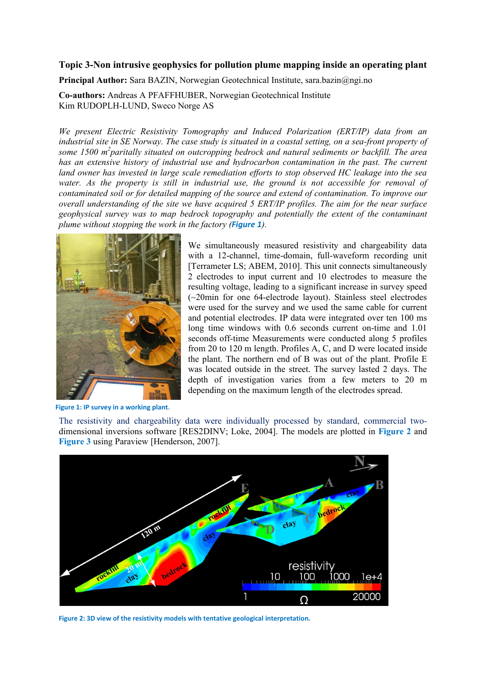## Topic 3-Non intrusive geophysics for pollution plume mapping inside an operating plant

Principal Author: Sara BAZIN, Norwegian Geotechnical Institute, sara.bazin@ngi.no

Co-authors: Andreas A PFAFFHUBER, Norwegian Geotechnical Institute Kim RUDOPLH-LUND, Sweco Norge AS

We present Electric Resistivity Tomography and Induced Polarization (ERT/IP) data from an industrial site in SE Norway. The case study is situated in a coastal setting, on a sea-front property of some 1500  $m^2$  paritally situated on outcropping bedrock and natural sediments or backfill. The area has an extensive history of industrial use and hydrocarbon contamination in the past. The current land owner has invested in large scale remediation efforts to stop observed HC leakage into the sea water. As the property is still in industrial use, the ground is not accessible for removal of contaminated soil or for detailed mapping of the source and extend of contamination. To improve our overall understanding of the site we have acquired 5 ERT/IP profiles. The aim for the near surface geophysical survey was to map bedrock topography and potentially the extent of the contaminant plume without stopping the work in the factory (Figure 1).



We simultaneously measured resistivity and chargeability data with a 12-channel, time-domain, full-waveform recording unit [Terrameter LS; ABEM, 2010]. This unit connects simultaneously 2 electrodes to input current and 10 electrodes to measure the resulting voltage, leading to a significant increase in survey speed  $\sim$  20min for one 64-electrode layout). Stainless steel electrodes were used for the survey and we used the same cable for current and potential electrodes. IP data were integrated over ten 100 ms long time windows with 0.6 seconds current on-time and 1.01 seconds off-time Measurements were conducted along 5 profiles from 20 to 120 m length. Profiles A, C, and D were located inside the plant. The northern end of B was out of the plant. Profile E was located outside in the street. The survey lasted 2 days. The depth of investigation varies from a few meters to 20 m depending on the maximum length of the electrodes spread.

Figure 1: IP survey in a working plant.

The resistivity and chargeability data were individually processed by standard, commercial twodimensional inversions software [RES2DINV; Loke, 2004]. The models are plotted in Figure 2 and Figure 3 using Paraview [Henderson, 2007].



Figure 2: 3D view of the resistivity models with tentative geological interpretation.